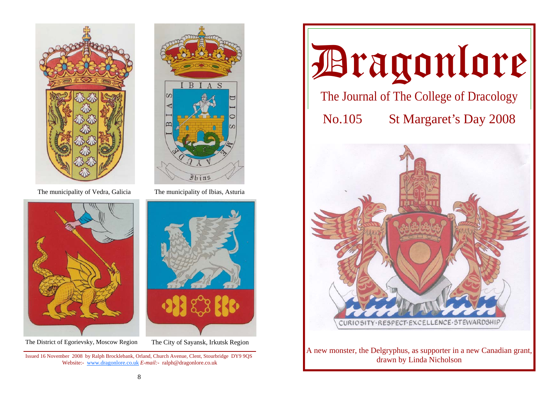



The District of Egorievsky, Moscow Region The City of Sayansk, Irkutsk Region



The municipality of Vedra, Galicia The municipality of Ibias, Asturia



Issued 16 November 2008 by Ralph Brocklebank, Orland, Church Avenue, Clent, Stourbridge DY9 9QS Website:- www.dragonlore.co.uk *E-mail:-* ralph@dragonlore.co.uk

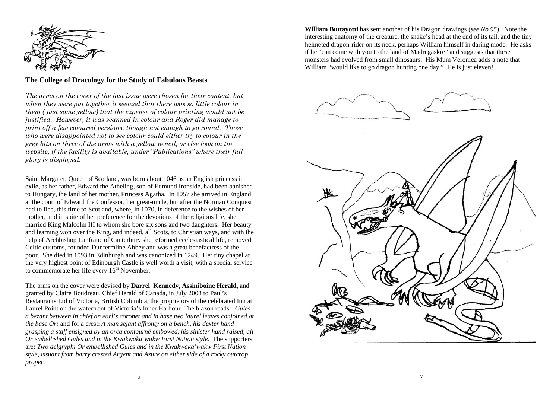

## **The College of Dracology for the Study of Fabulous Beasts**

*The arms on the cover of the last issue were chosen for their content, but when they were put together it seemed that there was so little colour in them ( just some yellow) that the expense of colour printing would not be justified. However, it was scanned in colour and Roger did manage to print off a few coloured versions, though not enough to go round. Those who were disappointed not to see colour could either try to colour in the grey bits on three of the arms with a yellow pencil, or else look on the website, if the facility is available, under "Publications" where their full glory is displayed.* 

Saint Margaret, Queen of Scotland, was born about 1046 as an English princess in exile, as her father, Edward the Atheling, son of Edmund Ironside, had been banished to Hungary, the land of her mother, Princess Agatha. In 1057 she arrived in England at the court of Edward the Confessor, her great-uncle, but after the Norman Conquest had to flee, this time to Scotland, where, in 1070, in deference to the wishes of her mother, and in spite of her preference for the devotions of the religious life, she married King Malcolm III to whom she bore six sons and two daughters. Her beauty and learning won over the King, and indeed, all Scots, to Christian ways, and with the help of Archbishop Lanfranc of Canterbury she reformed ecclesiastical life, removed Celtic customs, founded Dunfermline Abbey and was a great benefactress of the poor. She died in 1093 in Edinburgh and was canonized in 1249. Her tiny chapel at the very highest point of Edinburgh Castle is well worth a visit, with a special service to commemorate her life every  $16<sup>th</sup>$  November.

The arms on the cover were devised by **Darrel Kennedy, Assiniboine Herald,** and granted by Claire Boudreau, Chief Herald of Canada, in July 2008 to Paul's Restaurants Ltd of Victoria, British Columbia, the proprietors of the celebrated Inn at Laurel Point on the waterfront of Victoria's Inner Harbour. The blazon reads:- *Gules a bezant between in chief an earl's coronet and in base two laurel leaves conjoined at the base Or;* and for a crest: *A man sejant affronty on a bench, his dexter hand grasping a staff ensigned by an orca contourné embowed, his sinister hand raised, all Or embellished Gules and in the Kwakwaka'wakw First Nation style.* The supporters are: *Two delgryphi Or embellished Gules and in the Kwakwaka'wakw First Nation style, issuant from barry crested Argent and Azure on either side of a rocky outcrop proper.*

**William Buttayotti** has sent another of his Dragon drawings (*see No 95*). Note the interesting anatomy of the creature, the snake's head at the end of its tail, and the tiny helmeted dragon-rider on its neck, perhaps William himself in daring mode. He asks if he "can come with you to the land of Madregaskre" and suggests that these monsters had evolved from small dinosaurs. His Mum Veronica adds a note that William "would like to go dragon hunting one day." He is just eleven!

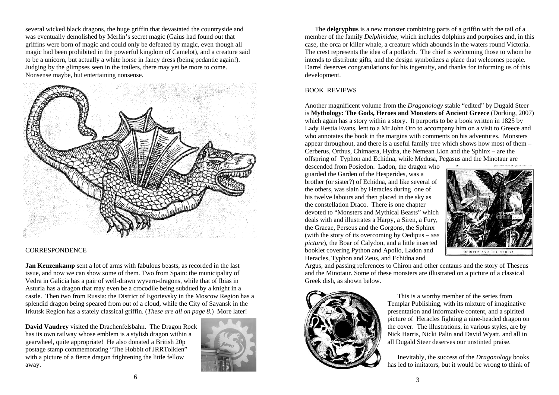several wicked black dragons, the huge griffin that devastated the countryside and was eventually demolished by Merlin's secret magic (Gaius had found out that griffins were born of magic and could only be defeated by magic, even though all magic had been prohibited in the powerful kingdom of Camelot), and a creature said to be a unicorn, but actually a white horse in fancy dress (being pedantic again!). Judging by the glimpses seen in the trailers, there may yet be more to come. Nonsense maybe, but entertaining nonsense.



## CORRESPONDENCE

**Jan Keuzenkamp** sent a lot of arms with fabulous beasts, as recorded in the last issue, and now we can show some of them. Two from Spain: the municipality of Vedra in Galicia has a pair of well-drawn wyvern-dragons, while that of Ibias in Asturia has a dragon that may even be a crocodile being subdued by a knight in a castle. Then two from Russia: the District of Egorievsky in the Moscow Region has a splendid dragon being speared from out of a cloud, while the City of Sayansk in the Irkutsk Region has a stately classical griffin. (*These are all on page 8.*) More later!

**David Vaudrey** visited the Drachenfelsbahn. The Dragon Rock has its own railway whose emblem is a stylish dragon within a gearwheel, quite appropriate! He also donated a British 20p postage stamp commemorating "The Hobbit of JRRTolkien" with a picture of a fierce dragon frightening the little fellow away.



 The **delgryphus** is a new monster combining parts of a griffin with the tail of a member of the family *Delphinidae,* which includes dolphins and porpoises and, in this case, the orca or killer whale, a creature which abounds in the waters round Victoria. The crest represents the idea of a potlatch. The chief is welcoming those to whom he intends to distribute gifts, and the design symbolizes a place that welcomes people. Darrel deserves congratulations for his ingenuity, and thanks for informing us of this development.

## BOOK REVIEWS

Another magnificent volume from the *Dragonology* stable "edited" by Dugald Steer is **Mythology: The Gods, Heroes and Monsters of Ancient Greece** (Dorking, 2007) which again has a story within a story. It purports to be a book written in 1825 by Lady Hestia Evans, lent to a Mr John Oro to accompany him on a visit to Greece and who annotates the book in the margins with comments on his adventures. Monsters appear throughout, and there is a useful family tree which shows how most of them – Cerberus, Orthus, Chimaera, Hydra, the Nemean Lion and the Sphinx – are the offspring of Typhon and Echidna, while Medusa, Pegasus and the Minotaur are

descended from Posiedon. Ladon, the dragon who guarded the Garden of the Hesperides, was a brother (or sister?) of Echidna, and like several of the others, was slain by Heracles during one of his twelve labours and then placed in the sky as the constellation Draco. There is one chapter devoted to "Monsters and Mythical Beasts" which deals with and illustrates a Harpy, a Siren, a Fury, the Graeae, Perseus and the Gorgons, the Sphinx (with the story of its overcoming by Oedipus – *see picture*), the Boar of Calydon, and a little inserted booklet covering Python and Apollo, Ladon and Heracles, Typhon and Zeus, and Echidna and



Argus, and passing references to Chiron and other centaurs and the story of Theseus and the Minotaur. Some of these monsters are illustrated on a picture of a classical Greek dish, as shown below.



 This is a worthy member of the series from Templar Publishing, with its mixture of imaginative presentation and informative content, and a spirited picture of Heracles fighting a nine-headed dragon on the cover. The illustrations, in various styles, are by Nick Harris, Nicki Palin and David Wyatt, and all in all Dugald Steer deserves our unstinted praise.

 Inevitably, the success of the *Dragonology* books has led to imitators, but it would be wrong to think of